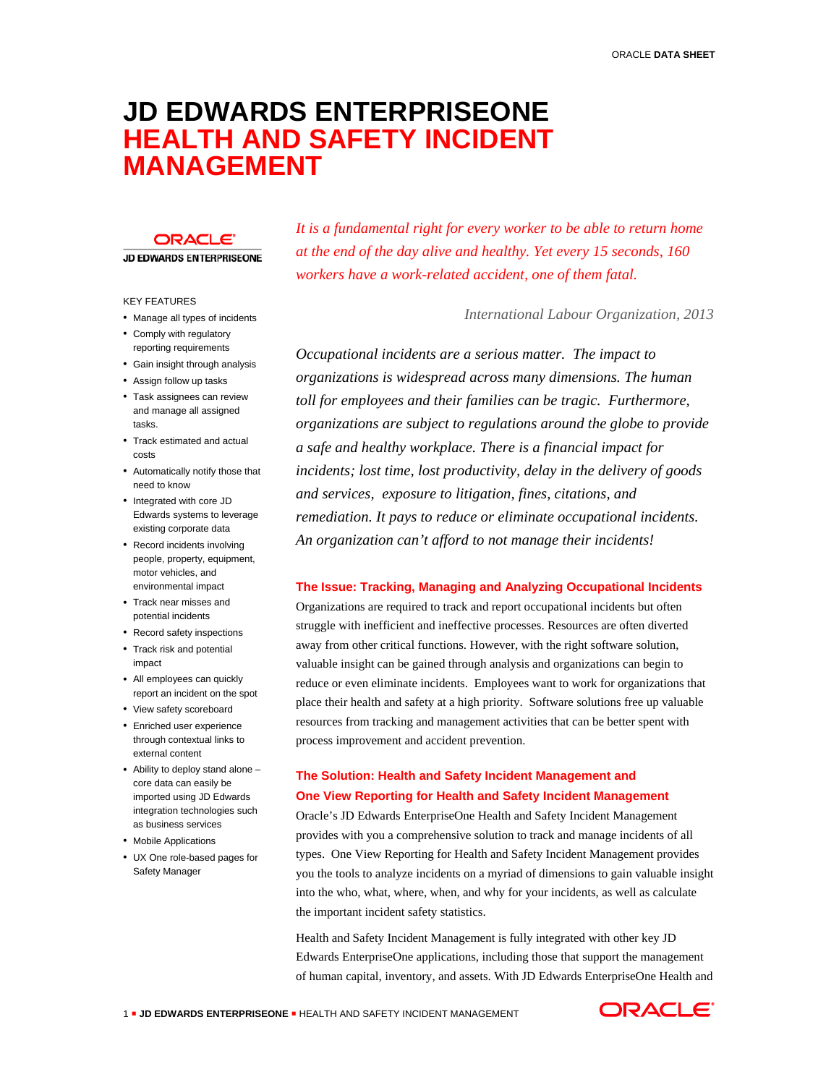# **JD EDWARDS ENTERPRISEONE HEALTH AND SAFETY INCIDENT MANAGEMENT**

## **ORACLE**

**JD EDWARDS ENTERPRISEONE** 

# KEY FEATURES

- Manage all types of incidents
- Comply with regulatory reporting requirements
- Gain insight through analysis
- Assign follow up tasks
- Task assignees can review and manage all assigned tasks.
- Track estimated and actual costs
- Automatically notify those that need to know
- Integrated with core JD Edwards systems to leverage existing corporate data
- Record incidents involving people, property, equipment, motor vehicles, and environmental impact
- Track near misses and potential incidents
- Record safety inspections
- Track risk and potential impact
- All employees can quickly report an incident on the spot
- View safety scoreboard
- Enriched user experience through contextual links to external content
- Ability to deploy stand alone core data can easily be imported using JD Edwards integration technologies such as business services
- Mobile Applications
- UX One role-based pages for Safety Manager

*It is a fundamental right for every worker to be able to return home at the end of the day alive and healthy. Yet every 15 seconds, 160 workers have a work-related accident, one of them fatal.*

*International Labour Organization, 2013*

*Occupational incidents are a serious matter. The impact to organizations is widespread across many dimensions. The human toll for employees and their families can be tragic. Furthermore, organizations are subject to regulations around the globe to provide a safe and healthy workplace. There is a financial impact for incidents; lost time, lost productivity, delay in the delivery of goods and services, exposure to litigation, fines, citations, and remediation. It pays to reduce or eliminate occupational incidents. An organization can't afford to not manage their incidents!*

# **The Issue: Tracking, Managing and Analyzing Occupational Incidents**

Organizations are required to track and report occupational incidents but often struggle with inefficient and ineffective processes. Resources are often diverted away from other critical functions. However, with the right software solution, valuable insight can be gained through analysis and organizations can begin to reduce or even eliminate incidents. Employees want to work for organizations that place their health and safety at a high priority. Software solutions free up valuable resources from tracking and management activities that can be better spent with process improvement and accident prevention.

# **The Solution: Health and Safety Incident Management and One View Reporting for Health and Safety Incident Management**

Oracle's JD Edwards EnterpriseOne Health and Safety Incident Management provides with you a comprehensive solution to track and manage incidents of all types. One View Reporting for Health and Safety Incident Management provides you the tools to analyze incidents on a myriad of dimensions to gain valuable insight into the who, what, where, when, and why for your incidents, as well as calculate the important incident safety statistics.

Health and Safety Incident Management is fully integrated with other key JD Edwards EnterpriseOne applications, including those that support the management of human capital, inventory, and assets. With JD Edwards EnterpriseOne Health and

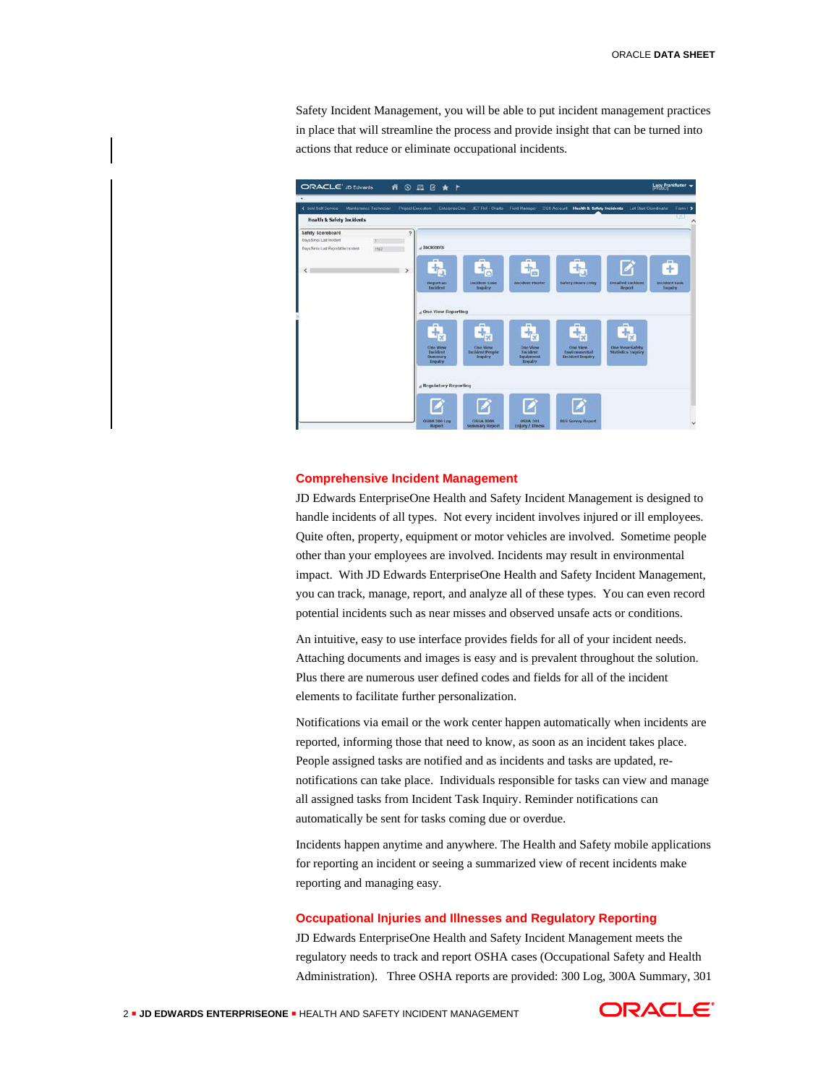Safety Incident Management, you will be able to put incident management practices in place that will streamline the process and provide insight that can be turned into actions that reduce or eliminate occupational incidents.



#### **Comprehensive Incident Management**

JD Edwards EnterpriseOne Health and Safety Incident Management is designed to handle incidents of all types. Not every incident involves injured or ill employees. Quite often, property, equipment or motor vehicles are involved. Sometime people other than your employees are involved. Incidents may result in environmental impact. With JD Edwards EnterpriseOne Health and Safety Incident Management, you can track, manage, report, and analyze all of these types. You can even record potential incidents such as near misses and observed unsafe acts or conditions.

An intuitive, easy to use interface provides fields for all of your incident needs. Attaching documents and images is easy and is prevalent throughout the solution. Plus there are numerous user defined codes and fields for all of the incident elements to facilitate further personalization.

Notifications via email or the work center happen automatically when incidents are reported, informing those that need to know, as soon as an incident takes place. People assigned tasks are notified and as incidents and tasks are updated, renotifications can take place. Individuals responsible for tasks can view and manage all assigned tasks from Incident Task Inquiry. Reminder notifications can automatically be sent for tasks coming due or overdue.

Incidents happen anytime and anywhere. The Health and Safety mobile applications for reporting an incident or seeing a summarized view of recent incidents make reporting and managing easy.

#### **Occupational Injuries and Illnesses and Regulatory Reporting**

JD Edwards EnterpriseOne Health and Safety Incident Management meets the regulatory needs to track and report OSHA cases (Occupational Safety and Health Administration). Three OSHA reports are provided: 300 Log, 300A Summary, 301

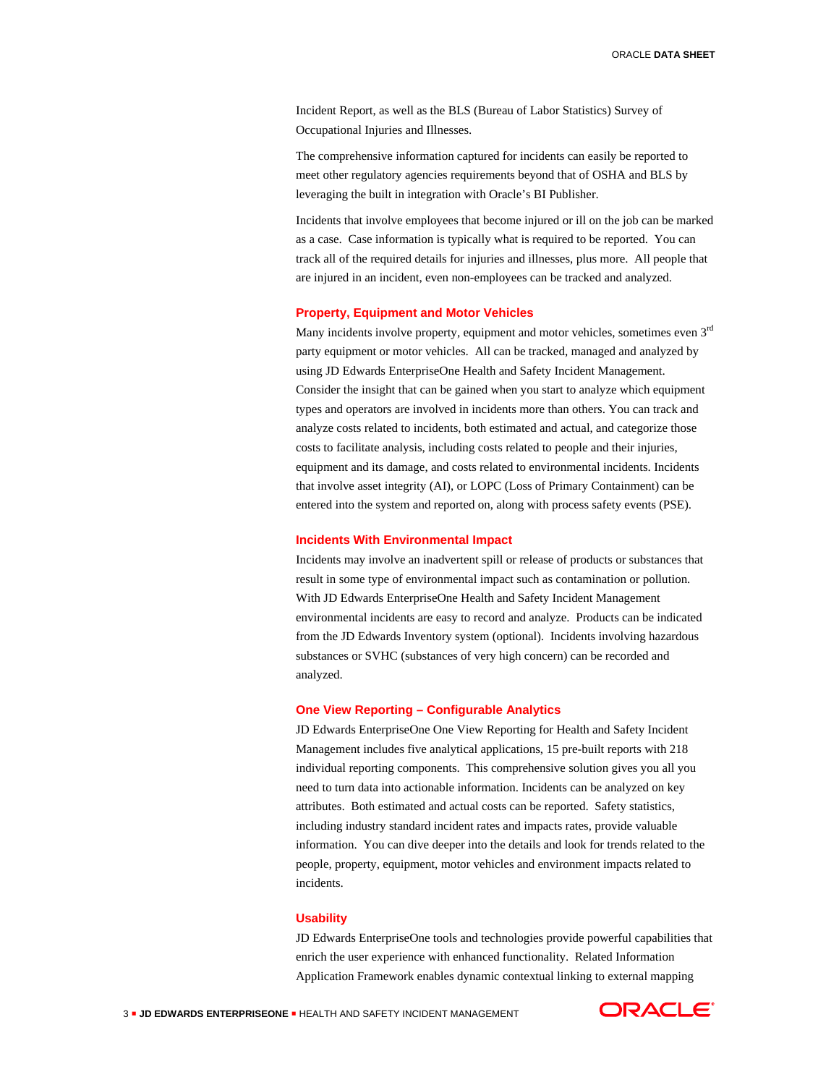Incident Report, as well as the BLS (Bureau of Labor Statistics) Survey of Occupational Injuries and Illnesses.

The comprehensive information captured for incidents can easily be reported to meet other regulatory agencies requirements beyond that of OSHA and BLS by leveraging the built in integration with Oracle's BI Publisher.

Incidents that involve employees that become injured or ill on the job can be marked as a case. Case information is typically what is required to be reported. You can track all of the required details for injuries and illnesses, plus more. All people that are injured in an incident, even non-employees can be tracked and analyzed.

#### **Property, Equipment and Motor Vehicles**

Many incidents involve property, equipment and motor vehicles, sometimes even 3<sup>rd</sup> party equipment or motor vehicles. All can be tracked, managed and analyzed by using JD Edwards EnterpriseOne Health and Safety Incident Management. Consider the insight that can be gained when you start to analyze which equipment types and operators are involved in incidents more than others. You can track and analyze costs related to incidents, both estimated and actual, and categorize those costs to facilitate analysis, including costs related to people and their injuries, equipment and its damage, and costs related to environmental incidents. Incidents that involve asset integrity (AI), or LOPC (Loss of Primary Containment) can be entered into the system and reported on, along with process safety events (PSE).

#### **Incidents With Environmental Impact**

Incidents may involve an inadvertent spill or release of products or substances that result in some type of environmental impact such as contamination or pollution. With JD Edwards EnterpriseOne Health and Safety Incident Management environmental incidents are easy to record and analyze. Products can be indicated from the JD Edwards Inventory system (optional). Incidents involving hazardous substances or SVHC (substances of very high concern) can be recorded and analyzed.

#### **One View Reporting – Configurable Analytics**

JD Edwards EnterpriseOne One View Reporting for Health and Safety Incident Management includes five analytical applications, 15 pre-built reports with 218 individual reporting components. This comprehensive solution gives you all you need to turn data into actionable information. Incidents can be analyzed on key attributes. Both estimated and actual costs can be reported. Safety statistics, including industry standard incident rates and impacts rates, provide valuable information. You can dive deeper into the details and look for trends related to the people, property, equipment, motor vehicles and environment impacts related to incidents.

#### **Usability**

JD Edwards EnterpriseOne tools and technologies provide powerful capabilities that enrich the user experience with enhanced functionality. Related Information Application Framework enables dynamic contextual linking to external mapping

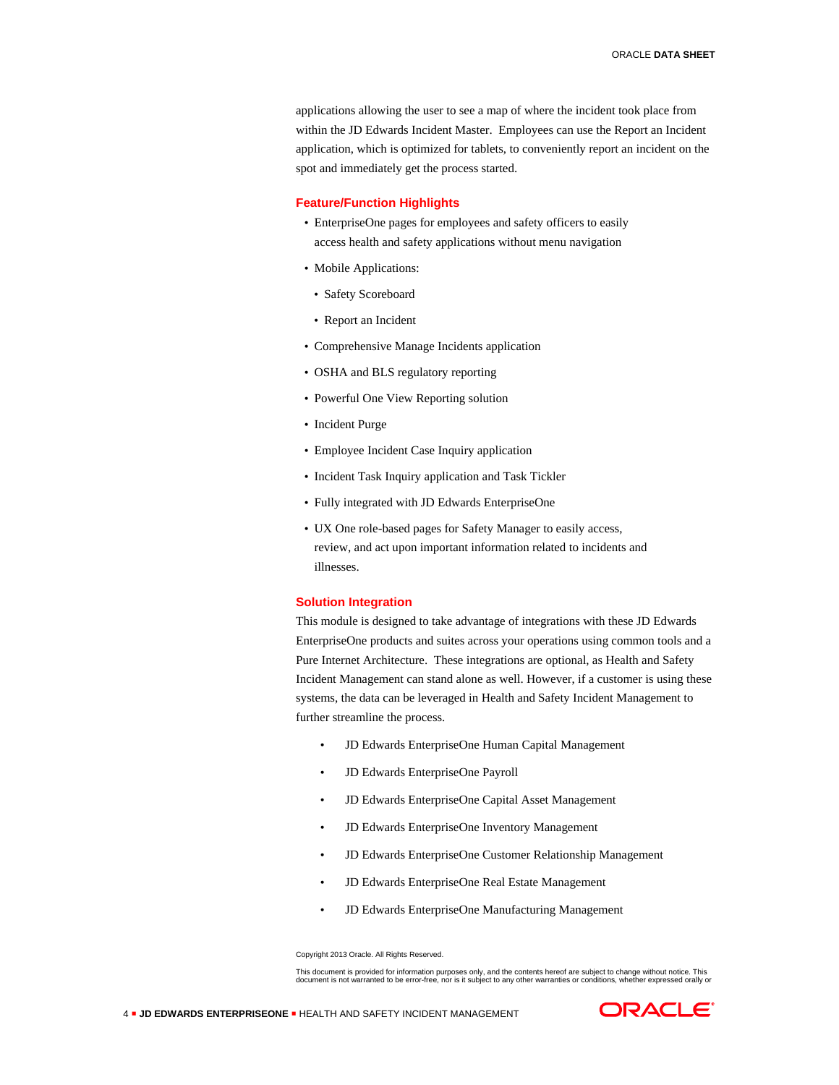applications allowing the user to see a map of where the incident took place from within the JD Edwards Incident Master. Employees can use the Report an Incident application, which is optimized for tablets, to conveniently report an incident on the spot and immediately get the process started.

# **Feature/Function Highlights**

- EnterpriseOne pages for employees and safety officers to easily access health and safety applications without menu navigation
- Mobile Applications:
- Safety Scoreboard
- Report an Incident
- Comprehensive Manage Incidents application
- OSHA and BLS regulatory reporting
- Powerful One View Reporting solution
- Incident Purge
- Employee Incident Case Inquiry application
- Incident Task Inquiry application and Task Tickler
- Fully integrated with JD Edwards EnterpriseOne
- UX One role-based pages for Safety Manager to easily access, review, and act upon important information related to incidents and illnesses.

# **Solution Integration**

This module is designed to take advantage of integrations with these JD Edwards EnterpriseOne products and suites across your operations using common tools and a Pure Internet Architecture. These integrations are optional, as Health and Safety Incident Management can stand alone as well. However, if a customer is using these systems, the data can be leveraged in Health and Safety Incident Management to further streamline the process.

- JD Edwards EnterpriseOne Human Capital Management
- JD Edwards EnterpriseOne Payroll
- JD Edwards EnterpriseOne Capital Asset Management
- JD Edwards EnterpriseOne Inventory Management
- JD Edwards EnterpriseOne Customer Relationship Management
- JD Edwards EnterpriseOne Real Estate Management
- JD Edwards EnterpriseOne Manufacturing Management

Copyright 2013 Oracle. All Rights Reserved.

This document is provided for information purposes only, and the contents hereof are subject to change without notice. This<br>document is not warranted to be error-free, nor is it subject to any other warranties or condition